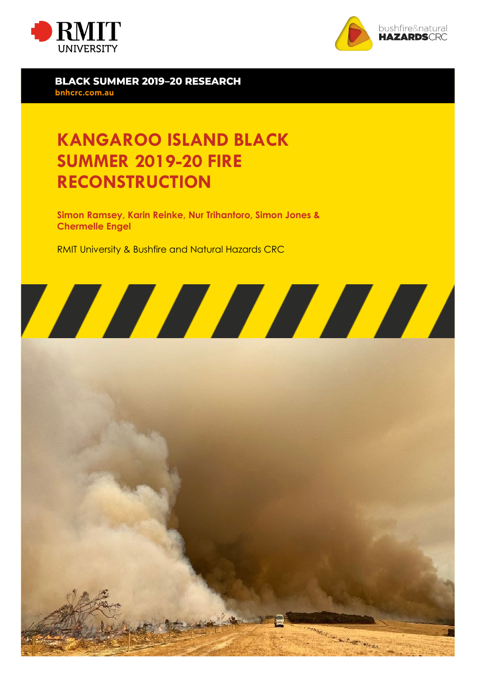



**BLACK SUMMER 2019-20 RESEARCH** bnhcrc.com.au

## **KANGAROO ISLAND BLACK SUMMER 2019-20 FIRE RECONSTRUCTION**

**Simon Ramsey, Karin Reinke, Nur Trihantoro, Simon Jones & Chermelle Engel** 

RMIT University & Bushfire and Natural Hazards CRC



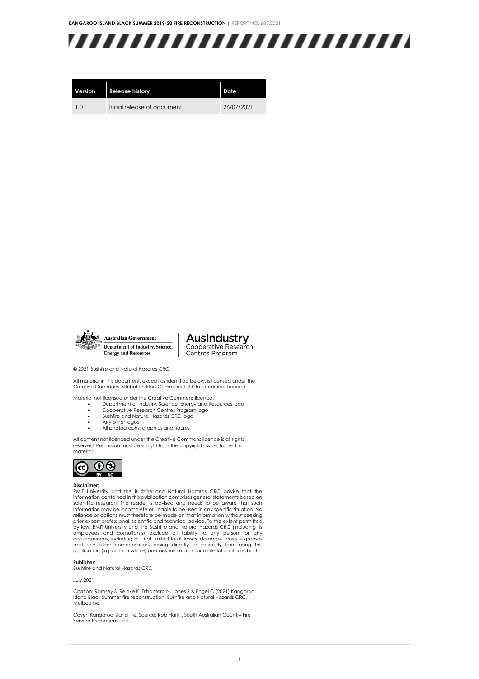

| Version | <b>Release history</b>      | Date       |
|---------|-----------------------------|------------|
| 10      | Initial release of document | 26/07/2021 |



**AusIndustry** Cooperative Research Centres Program

© 2021 Bushfire and Natural Hazards CRC

All material in this document, except as identified below, is licensed under the Creative Commons Attribution-Non-Commercial 4.0 International Licence.

Material not licensed under the Creative Commons licence:

- Department of Industry, Science, Energy and Resources logo Cooperative Research Centres Program logo
	-
	- Bushfire and Natural Hazards CRC logo
- Any other logos • All photographs, graphics and figures

All content not licenced under the Creative Commons licence is all rights reserved. Permission must be sought from the copyright owner to use this material.



#### **Disclaimer:**

RMIT University and the Bushfire and Natural Hazards CRC advise that the information contained in this publication comprises general statements based on scientific research. The reader is advised and needs to be aware that such information may be incomplete or unable to be used in any specific situation. No reliance or actions must therefore be made on that information without seeking prior expert professional, scientific and technical advice. To the extent permitted by law, RMIT University and the Bushfire and Natural Hazards CRC (including its employees and consultants) exclude all liability to any person for any consequences, including but not limited to all losses, damages, costs, expenses and any other compensation, arising directly or indirectly from using this publication (in part or in whole) and any information or material contained in it.

#### **Publisher:**

Bushfire and Natural Hazards CRC

July 2021

Citation: Ramsey S, Reinke K, Trihantoro N, Jones S & Engel C (2021) Kangaroo Island Black Summer fire reconstruction, Bushfire and Natural Hazards CRC, Melbourne.

Cover: Kangaroo Island fire. Source: Rob Hartill, South Australian Country Fire Service Promotions Unit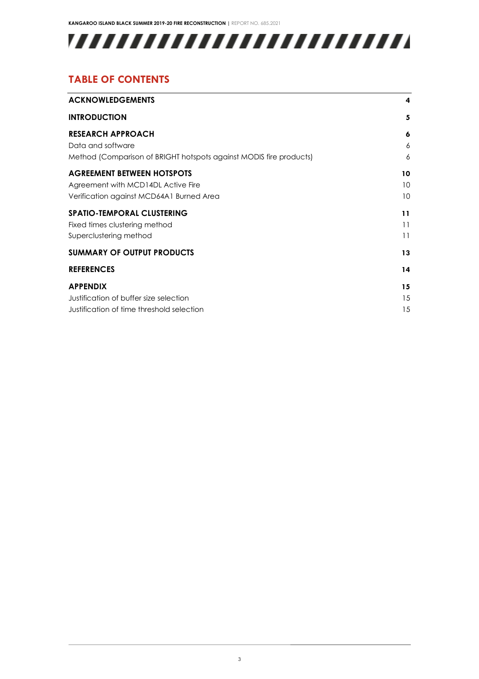# 

### **TABLE OF CONTENTS**

| <b>ACKNOWLEDGEMENTS</b>                                            | 4  |
|--------------------------------------------------------------------|----|
| <b>INTRODUCTION</b>                                                | 5  |
| <b>RESEARCH APPROACH</b>                                           | 6  |
| Data and software                                                  | 6  |
| Method (Comparison of BRIGHT hotspots against MODIS fire products) | 6  |
| <b>AGREEMENT BETWEEN HOTSPOTS</b>                                  | 10 |
| Agreement with MCD14DL Active Fire                                 | 10 |
| Verification against MCD64A1 Burned Area                           | 10 |
| <b>SPATIO-TEMPORAL CLUSTERING</b>                                  | 11 |
| Fixed times clustering method                                      | 11 |
| Superclustering method                                             | 11 |
| <b>SUMMARY OF OUTPUT PRODUCTS</b>                                  | 13 |
| <b>REFERENCES</b>                                                  | 14 |
| <b>APPENDIX</b>                                                    | 15 |
| Justification of buffer size selection                             | 15 |
| Justification of time threshold selection                          | 15 |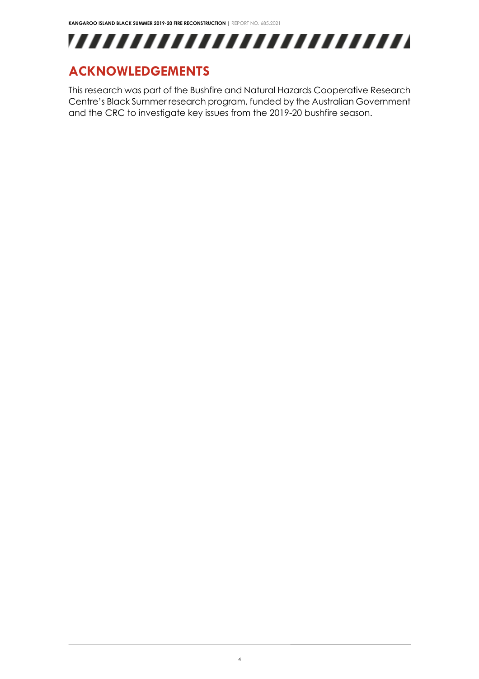

## <span id="page-3-0"></span>**ACKNOWLEDGEMENTS**

This research was part of the Bushfire and Natural Hazards Cooperative Research Centre's Black Summer research program, funded by the Australian Government and the CRC to investigate key issues from the 2019-20 bushfire season.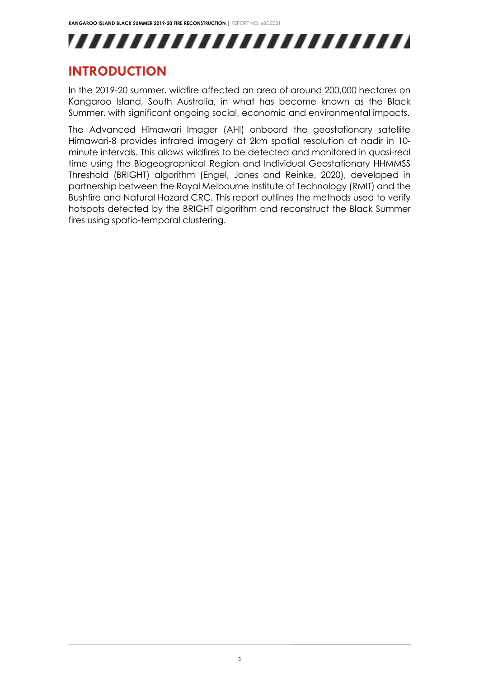## <span id="page-4-0"></span>**INTRODUCTION**

In the 2019-20 summer, wildfire affected an area of around 200,000 hectares on Kangaroo Island, South Australia, in what has become known as the Black Summer, with significant ongoing social, economic and environmental impacts.

The Advanced Himawari Imager (AHI) onboard the geostationary satellite Himawari-8 provides infrared imagery at 2km spatial resolution at nadir in 10 minute intervals. This allows wildfires to be detected and monitored in quasi-real time using the Biogeographical Region and Individual Geostationary HHMMSS Threshold (BRIGHT) algorithm (Engel, Jones and Reinke, 2020), developed in partnership between the Royal Melbourne Institute of Technology (RMIT) and the Bushfire and Natural Hazard CRC. This report outlines the methods used to verify hotspots detected by the BRIGHT algorithm and reconstruct the Black Summer fires using spatio-temporal clustering.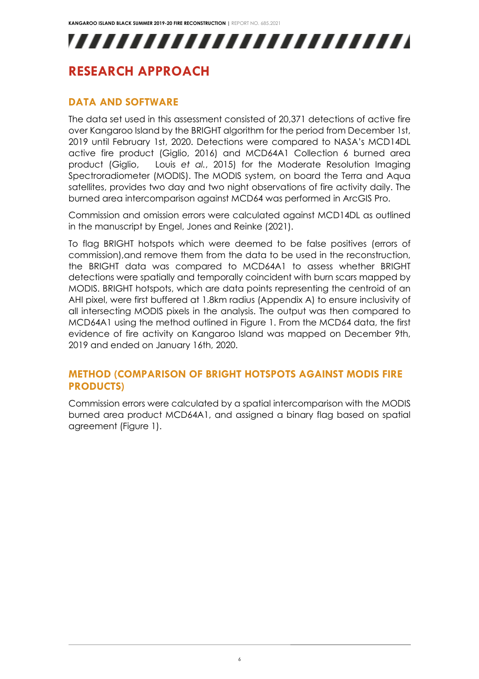## <span id="page-5-0"></span>**RESEARCH APPROACH**

#### <span id="page-5-1"></span>**DATA AND SOFTWARE**

The data set used in this assessment consisted of 20,371 detections of active fire over Kangaroo Island by the BRIGHT algorithm for the period from December 1st, 2019 until February 1st, 2020. Detections were compared to NASA's MCD14DL active fire product (Giglio, 2016) and MCD64A1 Collection 6 burned area product (Giglio, Louis *et al.*, 2015) for the Moderate Resolution Imaging Spectroradiometer (MODIS). The MODIS system, on board the Terra and Aqua satellites, provides two day and two night observations of fire activity daily. The burned area intercomparison against MCD64 was performed in ArcGIS Pro.

Commission and omission errors were calculated against MCD14DL as outlined in the manuscript by Engel, Jones and Reinke (2021).

To flag BRIGHT hotspots which were deemed to be false positives (errors of commission),and remove them from the data to be used in the reconstruction, the BRIGHT data was compared to MCD64A1 to assess whether BRIGHT detections were spatially and temporally coincident with burn scars mapped by MODIS. BRIGHT hotspots, which are data points representing the centroid of an AHI pixel, were first buffered at 1.8km radius (Appendix A) to ensure inclusivity of all intersecting MODIS pixels in the analysis. The output was then compared to MCD64A1 using the method outlined in Figure 1. From the MCD64 data, the first evidence of fire activity on Kangaroo Island was mapped on December 9th, 2019 and ended on January 16th, 2020.

#### <span id="page-5-2"></span>**METHOD (COMPARISON OF BRIGHT HOTSPOTS AGAINST MODIS FIRE PRODUCTS)**

Commission errors were calculated by a spatial intercomparison with the MODIS burned area product MCD64A1, and assigned a binary flag based on spatial agreement (Figure 1).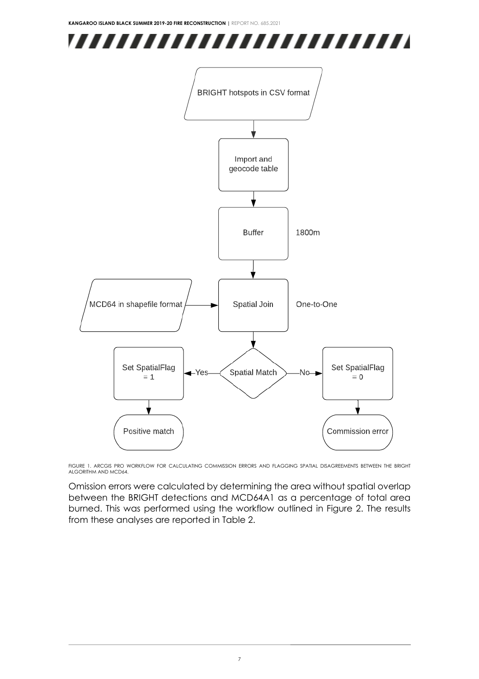



FIGURE 1. ARCGIS PRO WORKFLOW FOR CALCULATING COMMISSION ERRORS AND FLAGGING SPATIAL DISAGREEMENTS BETWEEN THE BRIGHT ALGORITHM AND MCD64.

Omission errors were calculated by determining the area without spatial overlap between the BRIGHT detections and MCD64A1 as a percentage of total area burned. This was performed using the workflow outlined in Figure 2. The results from these analyses are reported in Table 2.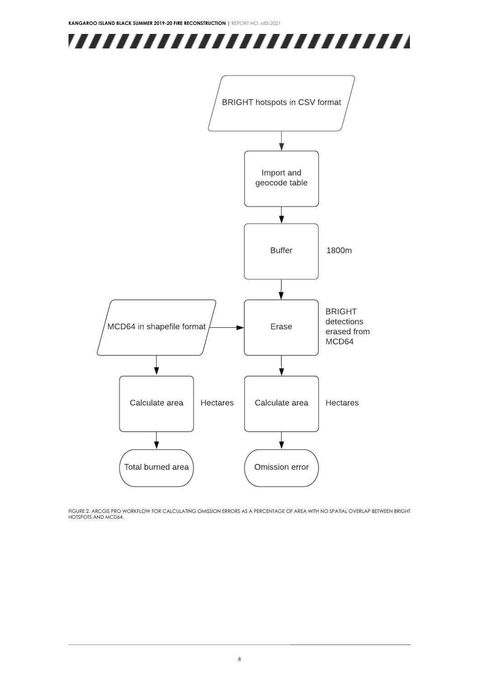



FIGURE 2. ARCGIS PRO WORKFLOW FOR CALCULATING OMISSION ERRORS AS A PERCENTAGE OF AREA WITH NO SPATIAL OVERLAP BETWEEN BRIGHT HOTSPOTS AND MCD64.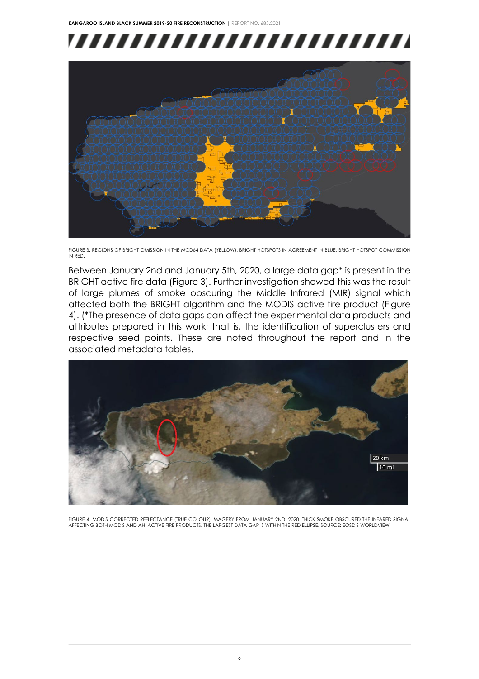



FIGURE 3. REGIONS OF BRIGHT OMISSION IN THE MCD64 DATA (YELLOW). BRIGHT HOTSPOTS IN AGREEMENT IN BLUE. BRIGHT HOTSPOT COMMISSION IN RED.

Between January 2nd and January 5th, 2020, a large data gap\* is present in the BRIGHT active fire data (Figure 3). Further investigation showed this was the result of large plumes of smoke obscuring the Middle Infrared (MIR) signal which affected both the BRIGHT algorithm and the MODIS active fire product (Figure 4). (\*The presence of data gaps can affect the experimental data products and attributes prepared in this work; that is, the identification of superclusters and respective seed points. These are noted throughout the report and in the associated metadata tables.



FIGURE 4. MODIS CORRECTED REFLECTANCE (TRUE COLOUR) IMAGERY FROM JANUARY 2ND, 2020. THICK SMOKE OBSCURED THE INFARED SIGNAL AFFECTING BOTH MODIS AND AHI ACTIVE FIRE PRODUCTS. THE LARGEST DATA GAP IS WITHIN THE RED ELLIPSE. SOURCE: EOSDIS WORLDVIEW.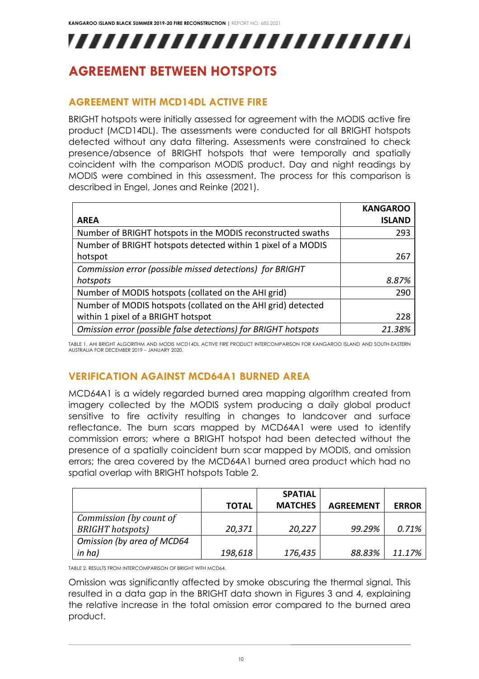## <span id="page-9-1"></span><span id="page-9-0"></span>**AGREEMENT BETWEEN HOTSPOTS**

#### **AGREEMENT WITH MCD14DL ACTIVE FIRE**

BRIGHT hotspots were initially assessed for agreement with the MODIS active fire product (MCD14DL). The assessments were conducted for all BRIGHT hotspots detected without any data filtering. Assessments were constrained to check presence/absence of BRIGHT hotspots that were temporally and spatially coincident with the comparison MODIS product. Day and night readings by MODIS were combined in this assessment. The process for this comparison is described in Engel, Jones and Reinke (2021).

|                                                                | <b>KANGAROO</b> |
|----------------------------------------------------------------|-----------------|
| <b>AREA</b>                                                    | <b>ISLAND</b>   |
| Number of BRIGHT hotspots in the MODIS reconstructed swaths    | 293             |
| Number of BRIGHT hotspots detected within 1 pixel of a MODIS   |                 |
| hotspot                                                        | 267             |
| Commission error (possible missed detections) for BRIGHT       |                 |
| hotspots                                                       | 8.87%           |
| Number of MODIS hotspots (collated on the AHI grid)            | 290             |
| Number of MODIS hotspots (collated on the AHI grid) detected   |                 |
| within 1 pixel of a BRIGHT hotspot                             | 228             |
| Omission error (possible false detections) for BRIGHT hotspots | 21.38%          |

<span id="page-9-2"></span>TABLE 1. AHI BRIGHT ALGORITHM AND MODIS MCD14DL ACTIVE FIRE PRODUCT INTERCOMPARISON FOR KANGAROO ISLAND AND SOUTH-EASTERN AUSTRALIA FOR DECEMBER 2019 – JANUARY 2020.

### **VERIFICATION AGAINST MCD64A1 BURNED AREA**

MCD64A1 is a widely regarded burned area mapping algorithm created from imagery collected by the MODIS system producing a daily global product sensitive to fire activity resulting in changes to landcover and surface reflectance. The burn scars mapped by MCD64A1 were used to identify commission errors; where a BRIGHT hotspot had been detected without the presence of a spatially coincident burn scar mapped by MODIS, and omission errors; the area covered by the MCD64A1 burned area product which had no spatial overlap with BRIGHT hotspots Table 2.

|                            |              | <b>SPATIAL</b> |                  |              |
|----------------------------|--------------|----------------|------------------|--------------|
|                            | <b>TOTAL</b> | <b>MATCHES</b> | <b>AGREEMENT</b> | <b>ERROR</b> |
| Commission (by count of    |              |                |                  |              |
| <b>BRIGHT</b> hotspots)    | 20,371       | 20,227         | 99.29%           | 0.71%        |
| Omission (by area of MCD64 |              |                |                  |              |
| in ha)                     | 198,618      | 176,435        | 88.83%           | 11.17%       |

TABLE 2. RESULTS FROM INTERCOMPARISON OF BRIGHT WITH MCD64.

Omission was significantly affected by smoke obscuring the thermal signal. This resulted in a data gap in the BRIGHT data shown in Figures 3 and 4, explaining the relative increase in the total omission error compared to the burned area product.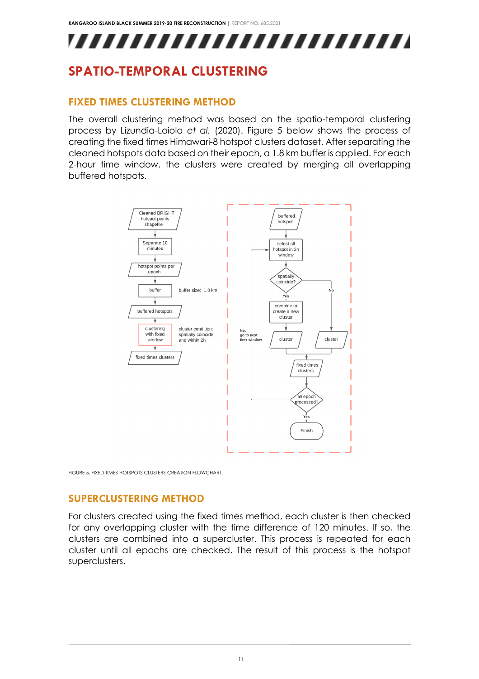## <span id="page-10-1"></span><span id="page-10-0"></span>**SPATIO-TEMPORAL CLUSTERING**

#### **FIXED TIMES CLUSTERING METHOD**

The overall clustering method was based on the spatio-temporal clustering process by Lizundia-Loiola *et al.* (2020). Figure 5 below shows the process of creating the fixed times Himawari-8 hotspot clusters dataset. After separating the cleaned hotspots data based on their epoch, a 1.8 km buffer is applied. For each 2-hour time window, the clusters were created by merging all overlapping buffered hotspots.



<span id="page-10-2"></span>FIGURE 5. FIXED TIMES HOTSPOTS CLUSTERS CREATION FLOWCHART.

### **SUPERCLUSTERING METHOD**

For clusters created using the fixed times method, each cluster is then checked for any overlapping cluster with the time difference of 120 minutes. If so, the clusters are combined into a supercluster. This process is repeated for each cluster until all epochs are checked. The result of this process is the hotspot superclusters.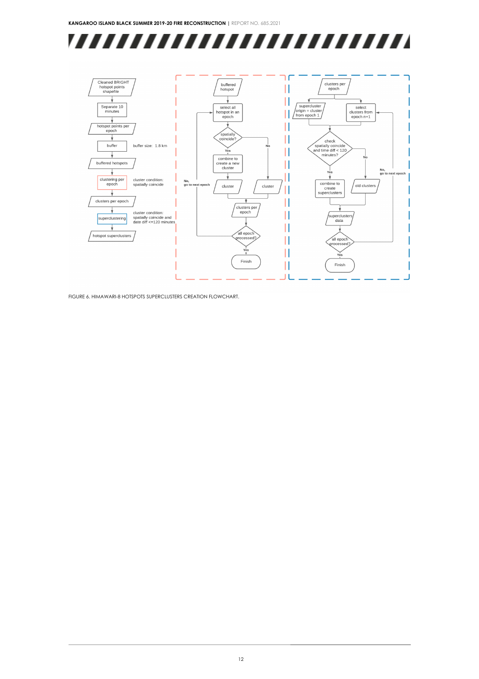



FIGURE 6. HIMAWARI-8 HOTSPOTS SUPERCLUSTERS CREATION FLOWCHART.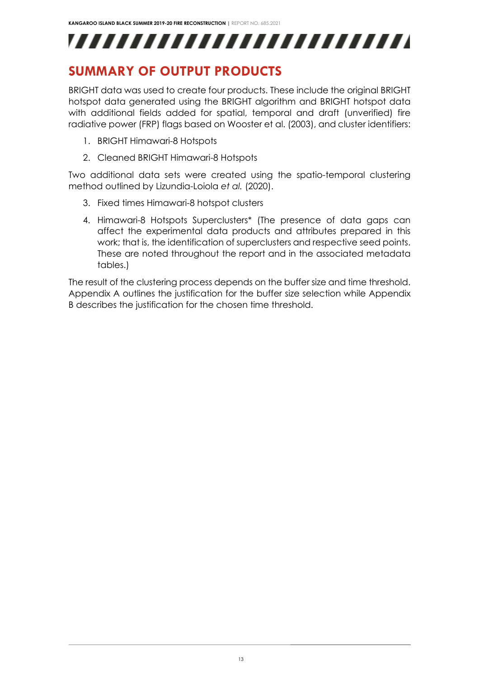## <span id="page-12-0"></span>**SUMMARY OF OUTPUT PRODUCTS**

BRIGHT data was used to create four products. These include the original BRIGHT hotspot data generated using the BRIGHT algorithm and BRIGHT hotspot data with additional fields added for spatial, temporal and draft (unverified) fire radiative power (FRP) flags based on Wooster et al. (2003), and cluster identifiers:

- 1. BRIGHT Himawari-8 Hotspots
- 2. Cleaned BRIGHT Himawari-8 Hotspots

Two additional data sets were created using the spatio-temporal clustering method outlined by Lizundia-Loiola *et al.* (2020).

- 3. Fixed times Himawari-8 hotspot clusters
- 4. Himawari-8 Hotspots Superclusters\* (The presence of data gaps can affect the experimental data products and attributes prepared in this work; that is, the identification of superclusters and respective seed points. These are noted throughout the report and in the associated metadata tables.)

The result of the clustering process depends on the buffer size and time threshold. Appendix A outlines the justification for the buffer size selection while Appendix B describes the justification for the chosen time threshold.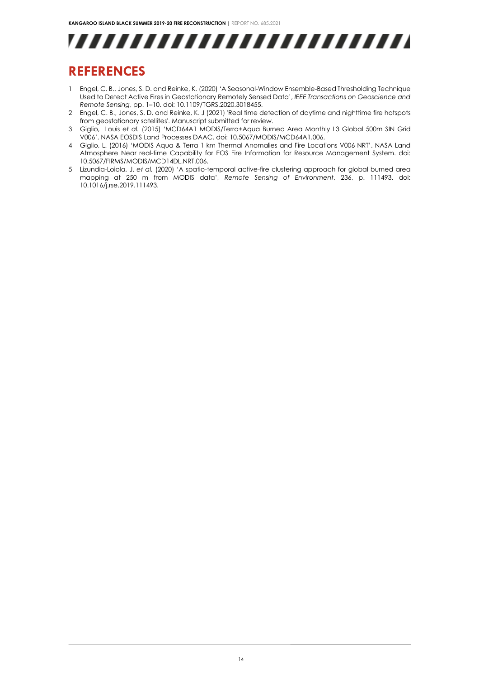

## <span id="page-13-0"></span>**REFERENCES**

- 1 Engel, C. B., Jones, S. D. and Reinke, K. (2020) 'A Seasonal-Window Ensemble-Based Thresholding Technique Used to Detect Active Fires in Geostationary Remotely Sensed Data', *IEEE Transactions on Geoscience and Remote Sensing*, pp. 1–10. doi: 10.1109/TGRS.2020.3018455.
- 2 Engel, C. B., Jones, S. D. and Reinke, K. J (2021) 'Real time detection of daytime and nighttime fire hotspots from geostationary satellites'. Manuscript submitted for review.
- 3 Giglio, Louis *et al.* (2015) 'MCD64A1 MODIS/Terra+Aqua Burned Area Monthly L3 Global 500m SIN Grid V006'. NASA EOSDIS Land Processes DAAC. doi: 10.5067/MODIS/MCD64A1.006.
- 4 Giglio, L. (2016) 'MODIS Aqua & Terra 1 km Thermal Anomalies and Fire Locations V006 NRT'. NASA Land Atmosphere Near real-time Capability for EOS Fire Information for Resource Management System. doi: 10.5067/FIRMS/MODIS/MCD14DL.NRT.006.
- 5 Lizundia-Loiola, J. *et al.* (2020) 'A spatio-temporal active-fire clustering approach for global burned area mapping at 250 m from MODIS data', *Remote Sensing of Environment*, 236, p. 111493. doi: 10.1016/j.rse.2019.111493.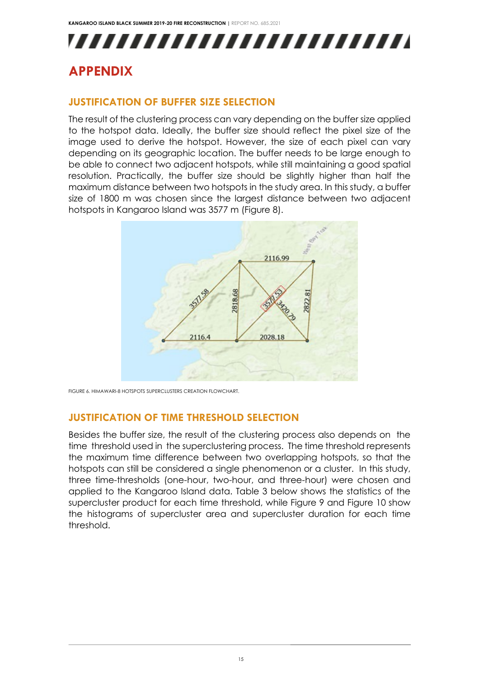## <span id="page-14-1"></span><span id="page-14-0"></span>**APPENDIX**

#### **JUSTIFICATION OF BUFFER SIZE SELECTION**

The result of the clustering process can vary depending on the buffer size applied to the hotspot data. Ideally, the buffer size should reflect the pixel size of the image used to derive the hotspot. However, the size of each pixel can vary depending on its geographic location. The buffer needs to be large enough to be able to connect two adjacent hotspots, while still maintaining a good spatial resolution. Practically, the buffer size should be slightly higher than half the maximum distance between two hotspots in the study area. In this study, a buffer size of 1800 m was chosen since the largest distance between two adjacent hotspots in Kangaroo Island was 3577 m (Figure 8).



<span id="page-14-2"></span>FIGURE 6. HIMAWARI-8 HOTSPOTS SUPERCLUSTERS CREATION FLOWCHART.

#### **JUSTIFICATION OF TIME THRESHOLD SELECTION**

Besides the buffer size, the result of the clustering process also depends on the time threshold used in the superclustering process. The time threshold represents the maximum time difference between two overlapping hotspots, so that the hotspots can still be considered a single phenomenon or a cluster. In this study, three time-thresholds (one-hour, two-hour, and three-hour) were chosen and applied to the Kangaroo Island data. Table 3 below shows the statistics of the supercluster product for each time threshold, while Figure 9 and Figure 10 show the histograms of supercluster area and supercluster duration for each time threshold.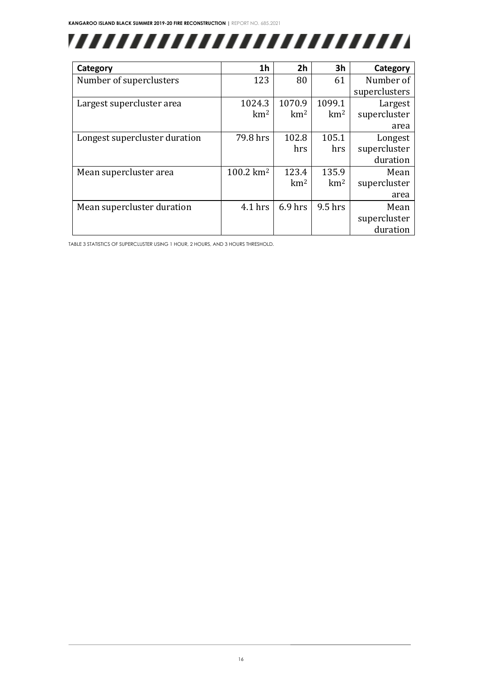

| Category                      | 1 <sub>h</sub>       | 2 <sub>h</sub>  | 3 <sub>h</sub>  | Category      |
|-------------------------------|----------------------|-----------------|-----------------|---------------|
| Number of superclusters       | 123                  | 80              | 61              | Number of     |
|                               |                      |                 |                 | superclusters |
| Largest supercluster area     | 1024.3               | 1070.9          | 1099.1          | Largest       |
|                               | km <sup>2</sup>      | km <sup>2</sup> | km <sup>2</sup> | supercluster  |
|                               |                      |                 |                 | area          |
| Longest supercluster duration | 79.8 hrs             | 102.8           | 105.1           | Longest       |
|                               |                      | hrs             | hrs             | supercluster  |
|                               |                      |                 |                 | duration      |
| Mean supercluster area        | $100.2 \text{ km}^2$ | 123.4           | 135.9           | Mean          |
|                               |                      | km <sup>2</sup> | km <sup>2</sup> | supercluster  |
|                               |                      |                 |                 | area          |
| Mean supercluster duration    | $4.1$ hrs            | $6.9$ hrs       | 9.5 hrs         | Mean          |
|                               |                      |                 |                 | supercluster  |
|                               |                      |                 |                 | duration      |

TABLE 3 STATISTICS OF SUPERCLUSTER USING 1 HOUR, 2 HOURS, AND 3 HOURS THRESHOLD.